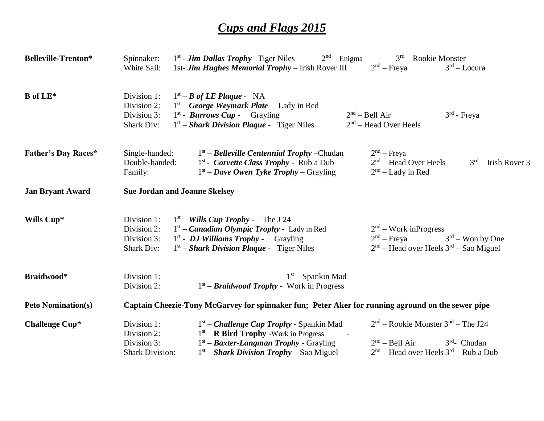## *Cups and Flags 2015*

| <b>Belleville-Trenton*</b> | Spinnaker:<br>White Sail:                                                                         | $1st$ - <b><i>Jim Dallas Trophy</i></b> – Tiger Niles<br>$2nd$ – Enigma<br>1st- Jim Hughes Memorial Trophy – Irish Rover III                                                                         | $3rd$ – Rookie Monster<br>$2nd$ – Freya<br>$3rd - Locura$                                                                           |  |  |
|----------------------------|---------------------------------------------------------------------------------------------------|------------------------------------------------------------------------------------------------------------------------------------------------------------------------------------------------------|-------------------------------------------------------------------------------------------------------------------------------------|--|--|
| <b>B</b> of LE*            | Division 1:<br>Division 2:<br>Division 3:<br>Shark Div:                                           | $1st - B$ of LE Plaque - NA<br>$1st - George Weymark Plate - Lady in Red$<br>$1st$ - <b>Burrows Cup</b> - Grayling<br>$1st$ – Shark Division Plaque - Tiger Niles                                    | $3rd$ - Freya<br>2 <sup>nd</sup> – Bell Air<br>$2nd$ – Head Over Heels                                                              |  |  |
| <b>Father's Day Races*</b> | Single-handed:<br>Double-handed:<br>Family:                                                       | $1st$ – <i>Belleville Centennial Trophy</i> – Chudan<br>$1st$ - <i>Corvette Class Trophy</i> - Rub a Dub<br>$1st$ – Dave Owen Tyke Trophy – Grayling                                                 | $2nd$ – Freya<br>$2nd$ – Head Over Heels<br>$3rd$ – Irish Rover 3<br>$2nd$ – Lady in Red                                            |  |  |
| <b>Jan Bryant Award</b>    | <b>Sue Jordan and Joanne Skelsey</b>                                                              |                                                                                                                                                                                                      |                                                                                                                                     |  |  |
| Wills Cup*                 | Division 1:<br>Division 2:<br>Division 3:<br><b>Shark Div:</b>                                    | $1st$ – <i>Wills Cup Trophy</i> - The J 24<br>$1st$ – <i>Canadian Olympic Trophy</i> - Lady in Red<br>$1st$ - <i>DJ Williams Trophy</i> - Grayling<br>$1st$ – Shark Division Plaque - Tiger Niles    | $2nd$ – Work inProgress<br>$3rd$ – Won by One<br>$2nd$ – Freya<br>$2nd$ – Head over Heels $3rd$ – Sao Miguel                        |  |  |
| Braidwood*                 | Division 1:<br>Division 2:                                                                        | $1st$ – Spankin Mad<br>$1st - Braidwood Trophy - Work in Progress$                                                                                                                                   |                                                                                                                                     |  |  |
| <b>Peto Nomination(s)</b>  | Captain Cheezie-Tony McGarvey for spinnaker fun; Peter Aker for running aground on the sewer pipe |                                                                                                                                                                                                      |                                                                                                                                     |  |  |
| <b>Challenge Cup*</b>      | Division 1:<br>Division 2:<br>Division 3:<br><b>Shark Division:</b>                               | $1st$ – <i>Challenge Cup Trophy</i> - Spankin Mad<br>$1st$ – <b>R Bird Trophy</b> -Work in Progress<br>$1st$ – Baxter-Langman Trophy - Grayling<br>$1st$ – <i>Shark Division Trophy</i> – Sao Miguel | $2nd$ – Rookie Monster $3nd$ – The J24<br>2 <sup>nd</sup> – Bell Air<br>$3rd$ - Chudan<br>$2nd$ – Head over Heels $3rd$ – Rub a Dub |  |  |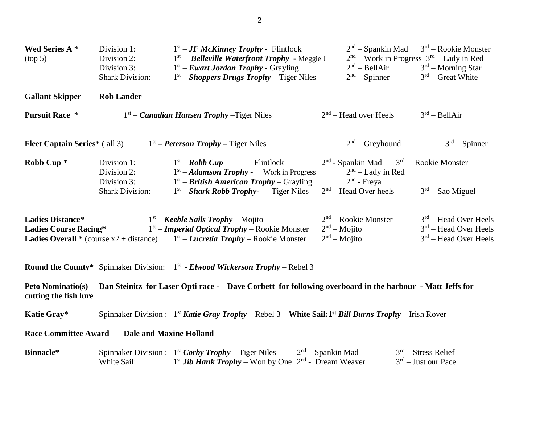| Wed Series A *<br>(top 5)                               | Division 1:<br>Division 2:<br>Division 3:<br><b>Shark Division:</b> | $1st - JF$ McKinney Trophy - Flintlock<br>$1st$ – Belleville Waterfront Trophy - Meggie J<br>$1st$ – <i>Ewart Jordan Trophy</i> - Grayling<br>$1st$ – <i>Shoppers Drugs Trophy</i> – Tiger Niles      | $2nd$ – Spankin Mad<br>2 <sup>nd</sup> – BellAir<br>$2nd$ – Spinner                | $3rd$ – Rookie Monster<br>$2nd$ – Work in Progress $3rd$ – Lady in Red<br>$3rd$ – Morning Star<br>$3rd$ – Great White |
|---------------------------------------------------------|---------------------------------------------------------------------|-------------------------------------------------------------------------------------------------------------------------------------------------------------------------------------------------------|------------------------------------------------------------------------------------|-----------------------------------------------------------------------------------------------------------------------|
| <b>Gallant Skipper</b>                                  | <b>Rob Lander</b>                                                   |                                                                                                                                                                                                       |                                                                                    |                                                                                                                       |
| <b>Pursuit Race *</b>                                   |                                                                     | $1st$ – <i>Canadian Hansen Trophy</i> – Tiger Niles                                                                                                                                                   | $2nd$ – Head over Heels                                                            | 3 <sup>rd</sup> – BellAir                                                                                             |
| <b>Fleet Captain Series*</b> (all 3)                    |                                                                     | $1st$ – Peterson Trophy – Tiger Niles                                                                                                                                                                 | $2nd$ – Greyhound                                                                  | $3rd$ – Spinner                                                                                                       |
| Robb Cup <sup>*</sup>                                   | Division 1:<br>Division 2:<br>Division 3:                           | $1st - Robb Cup -$<br>Flintlock<br>$1st - Adamson$ <i>Trophy</i> - Work in Progress<br>$1st$ – <i>British American Trophy</i> – Grayling                                                              | $2nd$ - Spankin Mad $3rd$ – Rookie Monster<br>$2nd$ – Lady in Red<br>$2nd$ - Freya |                                                                                                                       |
|                                                         | <b>Shark Division:</b>                                              | $1st$ – <i>Shark Robb Trophy</i> - Tiger Niles                                                                                                                                                        | $2nd$ – Head Over heels                                                            | $3rd$ – Sao Miguel                                                                                                    |
| <b>Ladies Distance*</b><br><b>Ladies Course Racing*</b> |                                                                     | $1st$ – Keeble Sails Trophy – Mojito<br>$1st$ – <i>Imperial Optical Trophy</i> – Rookie Monster<br><b>Ladies Overall</b> * (course $x^2$ + distance) $1^st$ – <i>Lucretia Trophy</i> – Rookie Monster | $2nd$ – Rookie Monster<br>$2nd - Mojito$<br>$2nd - Mojito$                         | $3rd$ – Head Over Heels<br>$3rd$ – Head Over Heels<br>$3rd$ – Head Over Heels                                         |
|                                                         |                                                                     | <b>Round the County*</b> Spinnaker Division: $1st$ - <i>Elwood Wickerson Trophy</i> – Rebel 3                                                                                                         |                                                                                    |                                                                                                                       |
| <b>Peto Nominatio(s)</b><br>cutting the fish lure       |                                                                     | Dan Steinitz for Laser Opti race - Dave Corbett for following overboard in the harbour - Matt Jeffs for                                                                                               |                                                                                    |                                                                                                                       |
| Katie Gray*                                             |                                                                     | Spinnaker Division: $1^{st}$ Katie Gray Trophy – Rebel 3 White Sail: 1 <sup>st</sup> Bill Burns Trophy – Irish Rover                                                                                  |                                                                                    |                                                                                                                       |
| <b>Race Committee Award</b>                             |                                                                     | <b>Dale and Maxine Holland</b>                                                                                                                                                                        |                                                                                    |                                                                                                                       |
| Binnacle*                                               |                                                                     | Spinnaker Division : $1^{st}$ Corby Trophy – Tiger Niles                                                                                                                                              | $2nd$ – Spankin Mad                                                                | $3rd$ – Stress Relief                                                                                                 |

White Sail:  $1^{st}$  *Jib Hank Trophy* – Won by One  $2^{nd}$  - Dream Weaver 3 <sup>rd</sup> – Just our Pace